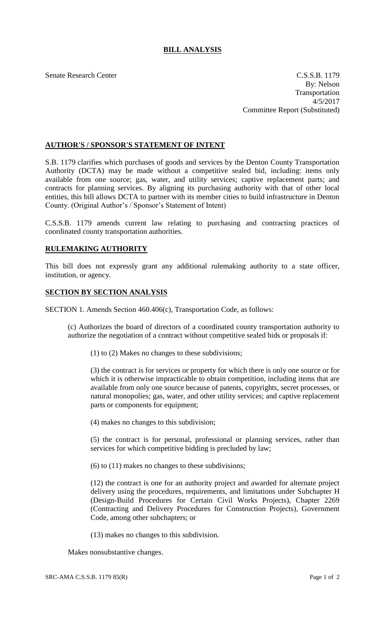## **BILL ANALYSIS**

Senate Research Center C.S.S.B. 1179 By: Nelson Transportation 4/5/2017 Committee Report (Substituted)

## **AUTHOR'S / SPONSOR'S STATEMENT OF INTENT**

S.B. 1179 clarifies which purchases of goods and services by the Denton County Transportation Authority (DCTA) may be made without a competitive sealed bid, including: items only available from one source; gas, water, and utility services; captive replacement parts; and contracts for planning services. By aligning its purchasing authority with that of other local entities, this bill allows DCTA to partner with its member cities to build infrastructure in Denton County. (Original Author's / Sponsor's Statement of Intent)

C.S.S.B. 1179 amends current law relating to purchasing and contracting practices of coordinated county transportation authorities.

## **RULEMAKING AUTHORITY**

This bill does not expressly grant any additional rulemaking authority to a state officer, institution, or agency.

## **SECTION BY SECTION ANALYSIS**

SECTION 1. Amends Section 460.406(c), Transportation Code, as follows:

(c) Authorizes the board of directors of a coordinated county transportation authority to authorize the negotiation of a contract without competitive sealed bids or proposals if:

(1) to (2) Makes no changes to these subdivisions;

(3) the contract is for services or property for which there is only one source or for which it is otherwise impracticable to obtain competition, including items that are available from only one source because of patents, copyrights, secret processes, or natural monopolies; gas, water, and other utility services; and captive replacement parts or components for equipment;

(4) makes no changes to this subdivision;

(5) the contract is for personal, professional or planning services, rather than services for which competitive bidding is precluded by law;

(6) to (11) makes no changes to these subdivisions;

(12) the contract is one for an authority project and awarded for alternate project delivery using the procedures, requirements, and limitations under Subchapter H (Design-Build Procedures for Certain Civil Works Projects), Chapter 2269 (Contracting and Delivery Procedures for Construction Projects), Government Code, among other subchapters; or

(13) makes no changes to this subdivision.

Makes nonsubstantive changes.